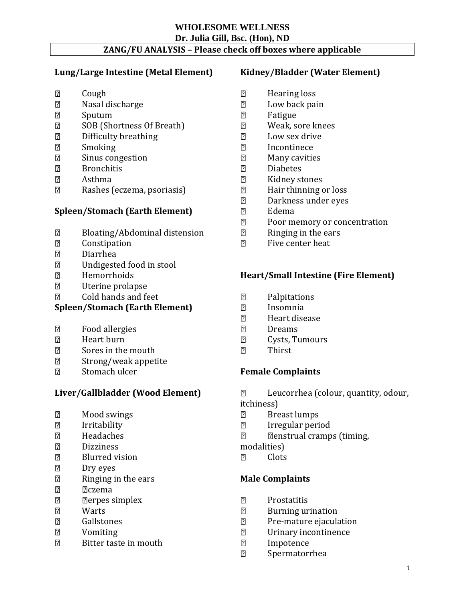# **WHOLESOME WELLNESS**

# **Dr. Julia Gill, Bsc. (Hon), ND**

# **ZANG/FU ANALYSIS – Please check off boxes where applicable**

### **Lung/Large Intestine (Metal Element)**

- $\overline{2}$ Cough
- Nasal discharge  $\overline{2}$
- $\overline{2}$ Sputum
- $\overline{2}$ SOB (Shortness Of Breath)
- $\overline{2}$ Difficulty breathing
- $\overline{2}$ Smoking
- $\overline{2}$ Sinus congestion
- $\overline{2}$ Bronchitis
- $\overline{2}$ Asthma
- Rashes (eczema, psoriasis)  $\overline{2}$

# **Spleen/Stomach (Earth Element)**

- $\overline{2}$ Bloating/Abdominal distension
- $\overline{2}$ Constipation
- Diarrhea  $\overline{2}$
- $\overline{2}$ Undigested food in stool
- $\overline{2}$ Hemorrhoids
- $\overline{2}$ Uterine prolapse
- Cold hands and feet  $\overline{2}$

# **Spleen/Stomach (Earth Element)**

- $\boxed{2}$ Food allergies
- $\boxed{2}$ Heart burn
- $\overline{2}$ Sores in the mouth
- $\overline{2}$ Strong/weak appetite
- $\overline{2}$ Stomach ulcer

### **Liver/Gallbladder (Wood Element)**

- $\mathbb{Z}$ Mood swings
- $\boxed{2}$ Irritability
- $\overline{2}$ Headaches
- $\overline{2}$ Dizziness
- $\overline{2}$ Blurred vision
- $\overline{2}$ Dry eyes
- Ringing in the ears  $\overline{2}$
- $\overline{2}$ **Z**czema
- **Derpes simplex**  $\overline{2}$
- Warts  $\overline{2}$
- $\overline{2}$ Gallstones
- Vomiting  $\overline{2}$
- $\overline{2}$ Bitter taste in mouth

## **Kidney/Bladder (Water Element)**

- $\mathbb{Z}$ Hearing loss
- $\mathbb{Z}$ Low back pain
- $\boxed{2}$ Fatigue
- $\overline{2}$ Weak, sore knees
- $\mathbb{Z}$ Low sex drive
- $\overline{2}$ Incontinece
- $\overline{2}$ Many cavities
- $\overline{2}$ Diabetes
- $\overline{2}$ Kidney stones
- Hair thinning or loss  $\overline{2}$
- $\overline{2}$ Darkness under eyes
- $\overline{2}$ Edema
- $\overline{2}$ Poor memory or concentration
- $\overline{2}$ Ringing in the ears
- Five center heat  $\overline{2}$

### **Heart/Small Intestine (Fire Element)**

- $\mathbf{Z}$ Palpitations
- $\mathbb{Z}$ Insomnia
- $\overline{2}$ Heart disease
- $\overline{2}$ Dreams
- $\overline{2}$ Cysts, Tumours
- $\sqrt{2}$ Thirst

### **Female Complaints**

 $\overline{2}$ Leucorrhea (colour, quantity, odour,

itchiness)

- $\mathbb{Z}$ Breast lumps
- $\overline{2}$ Irregular period
- $\overline{2}$ **Penstrual cramps (timing,**

modalities)

Clots  $\sqrt{2}$ 

### **Male Complaints**

- $\overline{2}$ Prostatitis
- Burning urination  $\overline{2}$
- $\overline{2}$ Pre-mature ejaculation
- $\overline{2}$ Urinary incontinence
- Impotence  $\overline{2}$
- Spermatorrhea $\overline{2}$